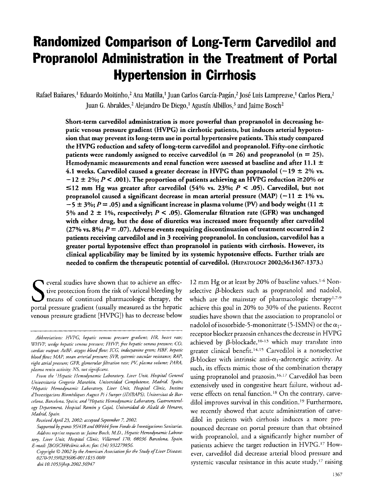# **Randomized Comparison of Long-Term Carvedilol and Propranolol Administration in the Treatment of Portal Hypertension in Cirrhosis**

Rafael Bañares,<sup>1</sup> Eduardo Moitinho,<sup>2</sup> Ana Matilla,<sup>1</sup> Juan Carlos García-Pagán,<sup>2</sup> José Luis Lampreave,<sup>1</sup> Carlos Piera,<sup>2</sup> Juan G. Abraldes,<sup>2</sup> Alejandro De Diego,<sup>1</sup> Agustín Albillos,<sup>3</sup> and Jaime Bosch<sup>2</sup>

Short-term carvedilol administration is more powerful than propranolol in decreasing hepatic venous pressure gradient (HVPG) in cirrhotic patients, but induces arterial hypotension that may prevent its long-term use in portal hypertensive patients. This study compared the HVPG reduction and safety of long-term carvedilol and propranolol. Fifty-one cirrhotic patients were randomly assigned to receive carvedilol ( $n = 26$ ) and propranolol ( $n = 25$ ). Hemodynamic measurements and renal function were assessed at baseline and after 11.1  $\pm$ 4.1 weeks. Carvedilol caused a greater decrease in HVPG than popranolol  $(-19 \pm 2\% \text{ vs.})$  $-12 \pm 2\%$ ; *P* < .001). The proportion of patients achieving an HVPG reduction  $\geq 20\%$  or  $\leq$ 12 mm Hg was greater after carvedilol (54% vs. 23%; *P* < .05). Carvedilol, but not propranolol caused a significant decrease in mean arterial pressure (MAP) ( $-11 \pm 1\%$  vs.  $-5 \pm 3\%$ ; *P* = .05) and a significant increase in plasma volume (PV) and body weight (11  $\pm$ 5% and  $2 \pm 1$ %, respectively;  $P \leq .05$ ). Glomerular filtration rate (GFR) was unchanged with either drug, but the dose of diuretics **was** increased more frequently after carvedilol  $(27\% \text{ vs. } 8\%; P = .07)$ . Adverse events requiring discontinuation of treatment occurred in 2 patients receiving carvedilol and in 3 receiving propranolol. In conclusion, carvedilol has a greater portal hypotensive effect than propranolol in patients with cirrhosis. However, its clinical applicability may be limited by its systemic hypotensive effects. Further trials are needed to confirm the therapeutic potential of carvedilol. (HEPATOLOGY **2002;36:1367-1373.)** 

everal studies have shown that to achieve an effective protection from the risk of variceal bleeding by means of continued pharmacologic therapy, the portal pressure gradient (usually measured as the hepatic venous pressure gradient [HVPG]) has to decrease below 12 mm Hg or at least by 20% of baseline values.<sup>1-6</sup> Non-

*Abbreviations: HVPG, hepatic venous pressure gradient: HR, heart rate; WHVP, wedge hepatic venom presrure; FHVP, fie. hepatic venous pressure; CO, cardiac ouvut: AzBF, azygos blood flow; ICG, indoqanine green; HBF, hepatic blood flow: MAP, mean arterial pressure: SVR> syrtemic vascular resistance; RAP,*  right atrial pressure; GFR, glomerular filtration rate; PV, plasma volume; PARA, *pkzsma renin artiviry: NS, not siguifirant.* 

*From the 'Hepatic Hernodynamic Laboratoty, Liver Unit, Hospital General*  Universitario Gregorio Marañón, Universidad Complutense, Madrid, Spain; *"Hepatic Hemodynamic Laboratoy, Liver Unit, Hospital Clinic, Institut*  d'Investigacions Biomèdiques August Pi i Sunyer (IDIBAPS), Universitat de Barcelona, Barcelona, Spain; and <sup>3</sup>Hepatic Hemodynamic Laboratory, Gastroenterol*ogy Department, Horpital Ramdn y Cajal, Universidad de Alcaki de Henares, Madrid, Spain.* 

*Received April 23, 2002; accepted Spptember 7, 2002.* 

*Supported by grants 95/418 and 00/444fivm Fondo de Investigaciones Sanitaria. Address reprint requests to: Jaime Bosch, M.D., Hepatic Hernodynamic Laboratoy, Liver Unit, Hospital Clinic, ViLlarroel 170, 08036 Barcelona, Spain. E-mail: JBOSCH@clinic.ub.es; fa: (34) 932279856* 

*Copyright*  $O$  *2002 by the American Association for the Study of Liver Diseases. do;: 10.l053~jhep.2002.36947 0270-9139/02/3606-0011\$35.00/0* 

selective  $\beta$ -blockers such as propranolol and nadolol, which are the mainstay of pharmacologic therapy<sup>1,7-9</sup> achieve this goal in 20% to 30% of the patients. Recent studies have shown that the association to propranolol or nadolol of isosorbide-5-mononitrate (5-ISMN) or the  $\alpha_1$ receptor blocker prazosin enhances the decrease in HVPG achieved by  $\beta$ -blockade,<sup>10-13</sup> which may translate into greater clinical benefit.<sup>14,15</sup> Carvedilol is a nonselective  $\beta$ -blocker with intrinsic anti- $\alpha_1$ -adrenergic activity. As such, its effects mimic those of the combination therapy using propranolol and prazosin.<sup>16,17</sup> Carvedilol has been extensively used in congestive heart failure, without adverse effects on renal function.<sup>18</sup> On the contrary, carvedilol improves survival in this condition.<sup>19</sup> Furthermore, we recently showed that acute administration of carvedilol in patients with cirrhosis induces a more pronounced decrease on portal pressure than that obtained with propranolol, and a significantly higher number of patients achieve the target reduction in HVPG.<sup>17</sup> However, carvedilol did decrease arterial blood pressure and systemic vascular resistance in this acute study, $^{17}$  raising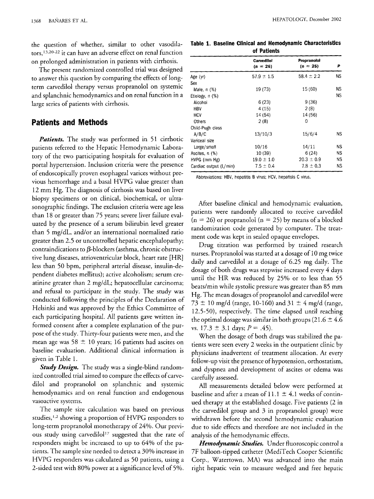the question of whether, similar to other vasodila $tors, <sup>13,20-22</sup>$  it can have an adverse effect on renal function on prolonged administration in patients with cirrhosis.

The present randomized controlled trial was designed to answer this question by comparing the effects of longterm carvedilol therapy versus propranolol on systemic and splanchnic hemodynamics and on renal function in a large series of patients with cirrhosis.

## **Patients and Methods**

*Patients.* The study was performed in *51* cirrhotic patients referred to the Hepatic Hernodynamic Laboratory of the two participating hospitals for evaluation of portal hypertension. Inclusion criteria were the presence of endoscopically proven esophageal varices without previous hemorrhage and a basal HVPG value greater than *12* mm Hg. The diagnosis of cirrhosis was based on liver biopsy specimens or on clinical, biochemical, or ultrasonographic findings. The exclusion criteria were age less than 18 or greater than *75* years; severe liver failure evaluated by the presence of a serum bilirubin level greater than *5* mg/dL, and/or an international normalized ratio greater than 2.5 or uncontrolled hepatic encephalopathy; contraindications to  $\beta$ -blockers (asthma, chronic obstructive lung diseases, atrioventricular block, heart rate [HR] less than *50* bpm, peripheral arterial disease, insulin-dependent diabetes mellitus); active alcoholism; serum creatinine greater than *2* mg/dL; hepatocellular carcinoma; and refusal to participate in the study. The study was conducted following the principles of the Declaration of Helsinki and was approved by the Ethics Committee of each participating hospital. All patients gave written informed consent after a complete explanation of the purpose of the study. Thirty-four patients were men, and the mean age was 58  $\pm$  10 years; 16 patients had ascites on baseline evaluation. Additional clinical information is given in Table I.

*Study Design.* The study was a single-blind randomized controlled trial aimed to compare the effects of carvedilol and propranolol on splanchnic and systemic hemodynamics and on renal function and endogenous vasoactive systems.

The sample size calculation was based on previous studies,<sup>1,2</sup> showing a proportion of HVPG responders to long-term propranolol monotherapy of *24%.* Our previous study using carvedilol'7 suggested that the rate of responders might be increased to up to *64%* of the patients. The sample size needed to detect a 30% increase in HVPG responders was calculated as *50* patients, using a 2-sided test with 80% power at a significance level of 5%.

|  |  |             | Table 1. Baseline Clinical and Hemodynamic Characteristics |
|--|--|-------------|------------------------------------------------------------|
|  |  | of Patients |                                                            |

| <b>Carvedilol</b><br>$(n = 26)$ | <b>Propranolol</b><br>$(n = 25)$ | P         |
|---------------------------------|----------------------------------|-----------|
| $57.9 \pm 1.5$                  | $58.4 \pm 2.2$                   | <b>NS</b> |
|                                 |                                  |           |
| 19 (73)                         | 15 (60)                          | ΝS        |
|                                 |                                  | NS        |
| 6(23)                           | 9(36)                            |           |
| 4 (15)                          | 2(8)                             |           |
| 14 (54)                         | 14 (56)                          |           |
| 2(8)                            | 0                                |           |
|                                 |                                  |           |
| 13/10/3                         | 15/6/4                           | NS        |
|                                 |                                  |           |
| 10/16                           | 14/11                            | ΝS        |
| 10 (39)                         | 6(24)                            | NS        |
| $19.0 \pm 1.0$                  | $20.3 \pm 0.9$                   | ΝS        |
| $7.5 \pm 0.4$                   | $7.8 \pm 0.3$                    | ΝS        |
|                                 |                                  |           |

Abbreviations: HBV, hepatitis B virus: HCV, hepatisis C virus.

After baseline clinical and hernodynamic evaluation, patients were randomly allocated to receive carvedilol (n = *26)* or propranolol (n = *25)* by means of a blocked randomization code generated by computer. The treatment code was kept in sealed opaque envelopes.

Drug titration was performed by trained research nurses. Propranolol was started at a dosage of 10 mg twice daily and carvedilol at a dosage of *6.25* rng daily. The dosage of both drugs was stepwise increased every *4* days until the HR was reduced by *25%* or to less than 55 beats/min while systolic pressure was greater than 85 mm Hg. The mean dosages of propranolol and carvedilol were  $73 \pm 10$  mg/d (range, 10-160) and  $31 \pm 4$  mg/d (range, *12.5-50),* respectively. The time elapsed until reaching the optimal dosage was similar in both groups  $(21.6 \pm 4.6)$ vs.  $17.3 \pm 3.1$  days;  $P = .45$ ).

When the dosage of both drugs was stabilized the patients were seen every *2* weeks in the outpatient clinic by physicians inadvertent of treatment allocation. At every follow-up visit the presence of hypotension, orthostatism, and dyspnea and development of ascites or edema was carefully assessed.

All measurements detailed below were performed at baseline and after a mean of  $11.1 \pm 4.1$  weeks of continued therapy at the established dosage. Five patients *(2* in the carvedilol group and *3* in propranolol group) were withdrawn before the second hemodynamic evaluation due to side effects and therefore are not included in the analysis of the hemodynamic effects,

*Hemodynamic Studies.* Under fluoroscopic control a 7F balloon-tipped catheter (MediTech Cooper Scientific Corp., Watertown, MA) was advanced into the main right hepatic vein to measure wedged and free hepatic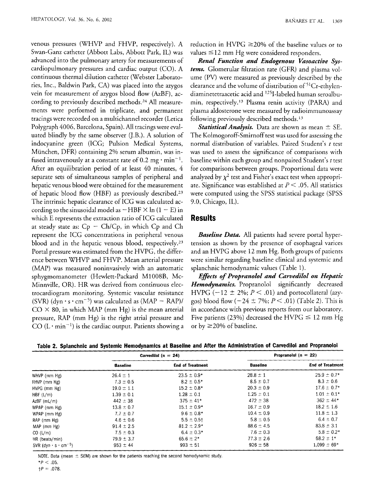venous pressures (WHVP and FHVP, respectively). A Swan-Ganz catheter (Abbott Labs, Abbott Park, IL) was advanced into the pulmonary artery for measurements of cardiopulmonary pressures and cardiac output (CO). A continuous thermal dilution catheter (Webster Laboratories, Inc., Baldwin Park, CA) was placed into the azygos vein for measurement of azygos blood flow (AzBF), according to previously described methods.<sup>24</sup> All measurements were performed in triplicate, and permanent tracings were recorded on a multichannel recorder (Letica Polygraph *4006,* Barcelona, Spain). All tracings were evaluated blindly by the same observer (J.B.). A solution of indocyanine green (ICG; Pulsion Medical Systems, Miinchen, DFR) containing *2%* serum albumin, was infused intravenously at a constant rate of 0.2 mg  $\cdot$  min<sup>-1</sup>. After an equilibration period of at least *40* minutes, *4*  separate sets of simultaneous samples of peripheral and hepatic venous blood were obtained for the measurement of hepatic blood flow (HBF) as previously described.23 The intrinsic hepatic clearance of ICG was calculated according to the sinusoidal model as  $-HBF \times \ln(1-E)$  in which E represents the extraction ratio of ICG calculated at steady state as:  $Cp - Ch/Cp$ , in which  $Cp$  and  $Ch$ represent the ICG concentrations in peripheral venous blood and in the hepatic venous blood, respectively.<sup>23</sup> Portal pressure was estimated from the HVPG, the difference between WHVP and FHVP. Mean arterial pressure (MAP) was measured noninvasively with an automatic sphygmomanometer (Hewlett-Packard M1008B, Mc-Minnville, OR). HR was derived from continuous electrocardiogram monitoring. Systemic vascular resistance (SVR) (dyn  $\cdot$  s  $\cdot$  cm<sup>-5</sup>) was calculated as (MAP - RAP)/  $CO \times 80$ , in which MAP (mm Hg) is the mean arterial pressure, RAP (mm Hg) is the right atrial pressure and CO  $(L \cdot min^{-1})$  is the cardiac output. Patients showing a

reduction in HVPG  $\geq$ 20% of the baseline values or to values *5* 12 mm Hg were considered responders.

*Renal Function and Endogenous Vasoactive Systems.* Glomerular filtration rate (GFR) and plasma volume (PV) were measured as previously described by the clearance and the volume of distribution of 51 Cr-ethylendiaminetetraacetic acid and 1251-labeled human seroalbumin, respectively.'3 Plasma renin activity (PARA) and plasma aldosterone were measured by radioimmunoassay following previously described methods.13

*Statistical Analysis.* Data are shown as mean  $\pm$  SE. The Kolmogoroff-Smirnoff test was used for assessing the normal distribution of variables. Paired Student's *t* test was used to assess the significance of comparisons with baseline within each group and nonpaired Student's *t* test for comparisons between groups. Proportional data were analyzed by  $\chi^2$  test and Fisher's exact test when appropriate. Significance was established at *1)* < *.05.* All statistics were computed using the SPSS statistical package (SPSS 9.0, Chicago, IL).

# **Results**

*Baseline Data.* All patients had severe portal hypertension as shown by the presence of esophageal varices and an HVPG above 12 mm Hg. Both groups of patients were similar regarding baseline clinical and systemic and splanchnic hemodynamic values (Table 1).

*Eflects of Propranolol and Carvedilol on Hepatic Hemodynamics.* Propranolol significantly decreased HVPG ( $-12 \pm 2\%$ ;  $P < .01$ ) and portocollateral (azygos) blood flow  $(-24 \pm 7\%; P < .01)$  (Table 2). This is in accordance with previous reports from our laboratory. Five patients *(23%)* decreased the HVPG *5* 12 mm Hg or by  $\geq$  20% of baseline.

|  |  | Table 2. Splanchnic and Systemic Hemodynamics at Baseline and After the Administration of Carvedilol and Propranolol |  |  |
|--|--|----------------------------------------------------------------------------------------------------------------------|--|--|
|--|--|----------------------------------------------------------------------------------------------------------------------|--|--|

|                                               |                 | Carvedilol ( $n = 24$ ) |                 | Propranolol $(n = 22)$  |
|-----------------------------------------------|-----------------|-------------------------|-----------------|-------------------------|
|                                               | <b>Baseline</b> | <b>End of Treatment</b> | <b>Baseline</b> | <b>End of Treatment</b> |
| WHVP (mm Hg)                                  | $26.4 \pm 1$    | $23.5 \pm 0.9*$         | $28.8 \pm 1$    | $25.9 \pm 0.7*$         |
| FHVP (mm Hg)                                  | $7.3 \pm 0.5$   | $8.2 \pm 0.5*$          | $8.5 \pm 0.7$   | $8.3 \pm 0.6$           |
| HVPG (mm Hg)                                  | $19.0 \pm 1.1$  | $15.2 \pm 0.8*$         | $20.3 \pm 0.9$  | $17.6 \pm 0.7*$         |
| HBF (L/m)                                     | $1.39 \pm 0.1$  | $1.28 \pm 0.1$          | $1.25 \pm 0.1$  | $1.01 \pm 0.1*$         |
| $AzBF$ (mL/m)                                 | $442 \pm 38$    | $375 \pm 41*$           | $472 \pm 38$    | $362 \pm 44*$           |
| MPAP (mm Hg)                                  | $13.8 \pm 0.7$  | $15.1 \pm 0.9*$         | $16.7 \pm 0.9$  | $18.2 \pm 1.6$          |
| WPAP (mm Hg)                                  | $7.7 \pm 0.7$   | $9.6 \pm 0.8*$          | $10.4 \pm 0.9$  | $11.8 \pm 1.3$          |
| RAP (mm Hg)                                   | $4.6 \pm 0.6$   | $5.5 \pm 0.5$ †         | $5.8 \pm 0.5$   | $6.4 \pm 0.7$           |
| MAP (mm Hg)                                   | $91.4 \pm 2.5$  | $81.2 \pm 2.9*$         | $88.6 \pm 4.5$  | $83.8 \pm 3.1$          |
| CO (L/m)                                      | $7.5 \pm 0.3$   | $6.4 \pm 0.3*$          | $7.6 \pm 0.3$   | $5.8 \pm 0.2*$          |
| HR (beats/min)                                | $79.9 \pm 3.7$  | $65.6 \pm 2*$           | $77.3 \pm 2.6$  | $58.2 \pm 1*$           |
| SVR (dyn $\cdot$ s $\cdot$ cm <sup>-5</sup> ) | $953 \pm 44$    | $993 \pm 51$            | $926 \pm 58$    | $1.099 \pm 69*$         |

NOTE. Data (mean  $\pm$  SEM) are shown for the patients reaching the second hemodynamic study.

~ ~

 $*P < .05$ .  $\uparrow P = .078$ .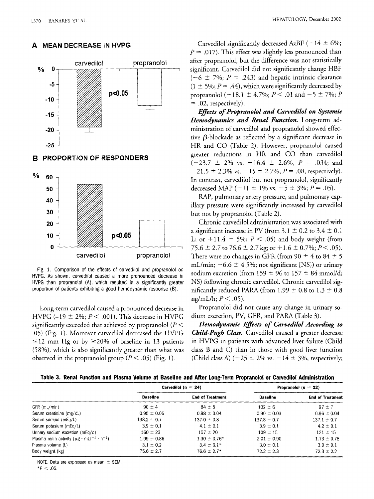

#### **A MEAN DECREASE IN HVPG**

#### **B PROPORTION OF RESPONDERS**



Fig. 1. Comparison of the effects of carvedilol and propranolol on HVPG. **As** shown, carvedilol caused a more pronounced decrease in HVPG than propranolol (A), which resulted in a significantly greater proportion of patients exhibiting a good hemodynamic response **(6).** 

Long-term carvedilol caused a pronounced decrease in HVPG  $(-19 \pm 2\%; P \le .001)$ . This decrease in HVPG significantly exceeded that achieved by propranolol *(P* < *.05)* (Fig. I). Moreover carvedilol decreased the HVPG  $\leq$ 12 mm Hg or by  $\geq$ 20% of baseline in 13 patients *(58%),* which is also significantly greater than what was observed in the propranolol group  $(P < .05)$  (Fig. 1).

Carvedilol significantly decreased AzBF  $(-14 \pm 6\%)$ ;  $P = .017$ ). This effect was slightly less pronounced than after propranolol, but the difference was not statistically significant. Carvedilol did not significantly change HBF  $(-6 \pm 7\%; P = .243)$  and hepatic intrinsic clearance  $(1 \pm 5\%; P = .44)$ , which were significantly decreased by propranolol ( $-18.1 \pm 4.7\%$ ;  $P < .01$  and  $-5 \pm 7\%$ ; *P* = *.02,* respectively).

*Eflects of Propranolol and Caruedilol on Systemic Hemodynumics and Renal Function.* Long-term administration of carvedilol and propranolol showed effective  $\beta$ -blockade as reflected by a significant decrease in HR and CO (Table *2).* However, propranolol caused greater reductions in HR and CO than carvedilol *(-23.7* -+ 2% vs. *-16.4* f *2.6%, P* = *.034;* and  $-21.5 \pm 2.3\%$  vs.  $-15 \pm 2.7\%$ ,  $P = .08$ , respectively). In contrast, carvedilol but not propranolol, significantly decreased MAP  $(-11 \pm 1\% \text{ vs. } -5 \pm 3\%; P = .05)$ .

RAP, pulmonary artery pressure, and pulmonary capillary pressure were significantly increased by carvedilol but not by propranolol (Table *2).* 

Chronic carvedilol administration was associated with a significant increase in PV (from  $3.1 \pm 0.2$  to  $3.4 \pm 0.1$ ) L; or  $+11.4 \pm 5\%$ ;  $P < .05$ ) and body weight (from *75.6* t *2.7* to *76.6* f *2.7* kg; or *+1.6 2 0.7%; P< .05).*  There were no changes in GFR (from  $90 \pm 4$  to  $84 \pm 5$ mL/min;  $-6.6 \pm 4.5$ %; not significant [NS]) or urinary sodium excretion (from  $159 \pm 96$  to  $157 \pm 84$  mmol/d; NS) following chronic carvedilol. Chronic carvedilol significantly reduced PARA (from  $1.99 \pm 0.8$  to  $1.3 \pm 0.8$ ng/mL/h; *P* < *.05).* 

Propranolol did not cause any change in urinary sodium excretion, PV, GFR, and PARA (Table *3).* 

*Hemodynamic Efects of Caruedilol According to*  Child-Pugh Class. Carvedilol caused a greater decrease in HVPG in patients with advanced liver failure (Child class B and C) than in those with good liver function (Child class A)  $(-25 \pm 2\% \text{ vs. } -14 \pm 3\% \text{, respectively})$ ;

|  |  |  |  |  |  |  |  | Table 3. Renal Function and Plasma Volume at Baseline and After Long-Term Propranolol or Carvedilol Administration |
|--|--|--|--|--|--|--|--|--------------------------------------------------------------------------------------------------------------------|
|  |  |  |  |  |  |  |  |                                                                                                                    |

|                                                                         |                 | Carvedilol (n = 24)     | Propranolol $(n = 22)$ |                         |  |
|-------------------------------------------------------------------------|-----------------|-------------------------|------------------------|-------------------------|--|
|                                                                         | <b>Baseline</b> | <b>End of Treatment</b> | <b>Baseline</b>        | <b>End of Treatment</b> |  |
| GFR (mL/min)                                                            | $90 \pm 4$      | $84 \pm 5$              | $102 \pm 6$            | $97 + 7$                |  |
| Serum creatinine (mg/dL)                                                | $0.95 \pm 0.05$ | $0.98 \pm 0.04$         | $0.90 \pm 0.03$        | $0.96 \pm 0.04$         |  |
| Serum sodium (mEg/L)                                                    | $138.2 \pm 0.7$ | $137.0 \pm 0.8$         | $137.8 \pm 0.7$        | $137.1 \pm 0.7$         |  |
| Serum potasium (mEq/L)                                                  | $3.9 \pm 0.1$   | $4.1 \pm 0.1$           | $3.9 \pm 0.1$          | $4.2 \pm 0.1$           |  |
| Urinary sodium excretion (mEg/d)                                        | $160 \pm 23$    | $157 \pm 20$            | $109 \pm 15$           | $121 \pm 15$            |  |
| Plasma renin activity ( $\mu$ g · mLz <sup>-1</sup> · h <sup>-1</sup> ) | $1.99 \pm 0.86$ | $1.30 \pm 0.76*$        | $2.01 \pm 0.90$        | $1.73 \pm 0.78$         |  |
| Plasma volume (L)                                                       | $3.1 \pm 0.2$   | $3.4 \pm 0.1*$          | $3.0 \pm 0.1$          | $3.0 \pm 0.1$           |  |
| Body weight (kg)                                                        | $75.6 \pm 2.7$  | $76.6 \pm 2.7*$         | $72.3 \pm 2.3$         | $72.3 \pm 2.2$          |  |

NOTE. Data are expressed as mean  $\pm$  SEM.

 $*P < .05$ .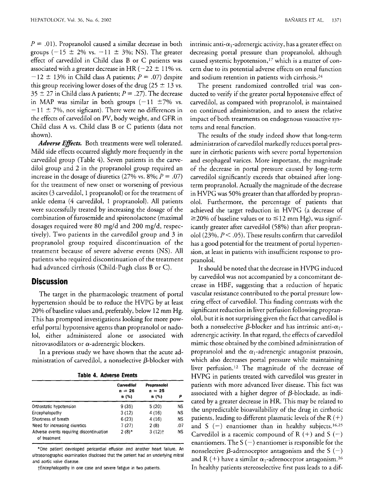$P = .01$ ). Propranolol caused a similar decrease in both groups (-15  $\pm$  2% vs. -11  $\pm$  3%; NS). The greater effect of carvedilol in Child class B or C patients was associated with a greater decrease in HR ( $-22 \pm 11\%$  vs.  $-12 \pm 13\%$  in Child class A patients;  $P = .07$ ) despite this group receiving lower doses of the drug  $(25 \pm 13 \text{ vs.})$  $35 \pm 27$  in Child class A patients;  $P = .27$ ). The decrease in MAP was similar in both groups  $(-11 \pm 7\% \text{ vs.})$  $-11 \pm 7\%$ , not sigficant). There were no differences in the effects of carvedilol on PV, body weight, and GFR in Child class **A** vs. Child class B or C patients (data not shown).

Adverse *Effects*. Both treatments were well tolerated. Mild side effects occurred slightly more frequently in the carvedilol group (Table *4).* Seven patients in the carvedilol group and 2 in the propranolol group required an increase in the dosage of diuretics  $(27\% \text{ vs. } 8\%; P = .07)$ for the treatment of new onset or worsening of previous ascites (3 carvedilol, 1 propranolol) or for the treatment of ankle edema *(4* carvedilol, 1 propranolol). All patients were successfully treated by increasing the dosage of the combination of furosemide and spironolactone (maximal dosages required were 80 mg/d and 200 mg/d, respectively). Two patients in the carvedilol group and 3 in propranolol group required discontinuation of the treatment because of severe adverse events (NS). All patients who required discontinuation of the treatment had advanced cirrhosis (Child-Pugh class B or C).

### **Discussion**

The target in the pharmacologic treatment of portal hypertension should be to reduce the HVPG by at least 20% of baseline values and, preferably, below 12 mm Hg. This has prompted investigations looking for more powerful portal hypotensive agents than propranolol or nado-101, either administered alone or associated with nitrovasodilators or  $\alpha$ -adrenergic blockers.

In a previous study we have shown that the acute administration of carvedilol, a nonselective  $\beta$ -blocker with

|  |  |  | Table 4. Adverse Events |  |
|--|--|--|-------------------------|--|
|--|--|--|-------------------------|--|

| Carvedilol<br>$n = 26$<br>n (%) | Propranolol<br>$n = 25$<br>n (%) | p         |
|---------------------------------|----------------------------------|-----------|
| 9(35)                           | 5(20)                            | <b>NS</b> |
| 3(12)                           | 4(16)                            | <b>NS</b> |
| 6(23)                           | 4(16)                            | ΝS        |
| 7(27)                           | 2(8)                             | .07       |
| $2(8)*$                         | $3(12)$ t                        | <b>NS</b> |
|                                 |                                  |           |

\*One patient developed pericardial effusion and another heart failure. An ultrasonographic examination disclosed that the patient had an underlying mitral and aortic valve disease.

tEncephalopathy in one case and severe fatigue in two patients.

intrinsic anti- $\alpha_1$ -adrenergic activity, has a greater effect on decreasing portal pressure than propranolol, although caused systemic hypotension,<sup>17</sup> which is a matter of concern due to its potential adverse effects on renal function and sodium retention in patients with cirrhosis.<sup>24</sup>

The present randomized controlled trial was conducted to verify if the greater portal hypotensive effect of carvedilol, as compared with propranolol, is maintained on continued administration, and to assess the relative impact of both treatments on endogenous vasoactive systems and renal function.

The results of the study indeed show that long-term administration of carvedilol markedly reduces portal pressure in cirrhotic patients with severe portal hypertension and esophageal varices. More important, the magnitude of the decrease in portal pressure caused by long-term carvedilol significantly exceeds that obtained after longterm propranolol. Actually the magnitude of the decrease in HVPG was 50% greater than that afforded by propranolol. Furthermore, the percentage of patients that achieved the target reduction in HVPG (a decrease of 220% of baseline values or to *5* 12 mm Hg), was significantly greater after carvedilol (58%) than after propran-<sup>0101</sup>*(23%, P* < *.05).* These results confirm that carvedilol has a good potential for the treatment of portal hypertension, at least in patients with insufficient response to propranolol.

It should be noted that the decrease in HVPG induced by carvedilol was not accompanied by a concomitant decrease in HBF, suggesting that a reduction of hepatic vascular resistance contributed to the portal pressure lowering effect of carvedilol. This finding contrasts with the significant reduction in liver perfusion following propran-0101, but it is not surprising given the fact that carvedilol is both a nonselective  $\beta$ -blocker and has intrinsic anti- $\alpha_1$ adrenergic activity. In that regard, the effects of carvedilol mimic those obtained by the combined administration of propranolol and the  $\alpha_1$ -adrenergic antagonist prazosin, which also decreases portal pressure while maintaining liver perfusion.<sup>12</sup> The magnitude of the decrease of HVPG in patients treated with carvedilol was greater in patients with more advanced liver disease. This fact was associated with a higher degree of  $\beta$ -blockade, as indicated by a greater decrease in HR. This may be related to the unpredictable bioavailability of the drug in cirrhotic patients, leading to different plasmatic levels of the R  $(+)$ and S (-) enantiomer than in healthy subjects.<sup>16,25</sup> Carvedilol is a racemic compound of R  $(+)$  and S  $(-)$ enantiomers. The S  $(-)$  enantiomer is responsible for the nonselective  $\beta$ -adrenoceptor antagonism and the S (-) and R (+) have a similar  $\alpha_1$ -adrenoceptor antagonism.<sup>26</sup> In healthy patients stereoselective first pass leads to a dif-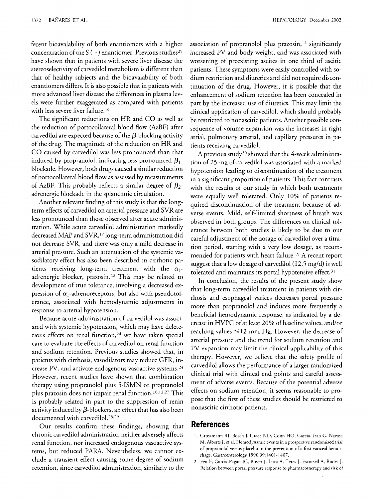ferent bioavalability of both enantiomers with a higher concentration of the  $S$  ( $-$ ) enantiomer. Previous studies<sup>25</sup> have shown that in patients with severe liver disease the stereoselectivity of carvedilol metabolism is different than that of healthy subjects and the bioavalability of both enantiomers differs. It is also possible that in patients with more advanced liver disease the differences in plasma levels were further exaggerated as compared with patients with less severe liver failure.<sup>16</sup>

The significant reductions on HR and CO as well as the reduction of portocollateral blood flow (AzBF) after carvedilol are expected because of the  $\beta$ -blocking activity of the drug. The magnitude of the reduction on HR and CO caused by carvedilol was less pronounced than that induced by propranolol, indicating less pronounced  $\beta_1$ blockade. However, both drugs caused a similar reduction of portocollateral blood flow as assessed by measurements of AzBF. This probably reflects a similar degree of  $\beta_2$ adrenergic blockade in the splanchnic circulation.

Another relevant finding of this study is that the longterm effects of carvedilol on arterial pressure and SVR are less pronounced than those observed after acute administration. While acute carvedilol administration markedly decreased MAP and SVR,<sup>17</sup> long-term administration did not decrease SVR, and there was only a mild decrease in arterial pressure. Such an attenuation of the systemic vasodilatory effect has also been described in cirrhotic patients receiving long-term treatment with the  $\alpha_1$ adrenergic blocker, prazosin.<sup>22</sup> This may be related to development of true tolerance, involving a decreased expression of  $\alpha_1$ -adrenoreceptors, but also with pseudotolerance, associated with hemodynamic adjustments in response to arterial hypotension.

Because acute administration of carvedilol was associated with systemic hypotension, which may have deleterious effects on renal function, $24$  we have taken special care to evaluate the effects of carvedilol on renal function and sodium retention. Previous studies showed that, in patients with cirrhosis, vasodilators may reduce GFR, increase PV, and activate endogenous vasoactive systems. $^{24}$ However, recent studies have shown that combination therapy using propranolol plus 5-ISMN or propranolol plus prazosin does not impair renal function.<sup>10,12,27</sup> This is probably related in part to the suppression of renin activity induced by  $\beta$ -blockers, an effect that has also been documented with carvedilol.28,29

Our results confirm these findings, showing that chronic carvedilol administration neither adversely affects renal function, nor increased endogenous vasoactive systems, but reduced PARA. Nevertheless, we cannot exclude a transient effect causing some degree of sodium retention, since carvedilol administration, similarly to the

association of propranolol plus prazosin,<sup>12</sup> significantly increased PV and body weight, and was associated with worsening of preexisting ascites in one third of ascitic patients. These symptoms were easily controlled with sodium restriction and diuretics and did not require discontinuation of the drug. However, it is possible that the enhancement of sodium retention has been concealed in part by the increased use of diuretics. This may limit the clinical applicarion of carvedilol, which should probably be restricted to nonascitic patients. Another possible consequence of volume expansion was the increases in right atrial, pulmonary arterial, and capillary pressures in patients receiving carvedilol.

**A** previous study30 showed that the 4-week administration of *25* mg of carvedilol was associated with a marked hypotension leading to discontinuation of the treatment in a significant proportion of patients. This fact contrasts with the results of our study in which both treatments were equally well tolerated. Only 10% of patients required discontinuation of the treatment because of adverse events. Mild, self-limited shortness of breath was observed in both groups. The differences on clinical tolerance between both studies is likely to be due to our careful adjustment of the dosage of carvedilol over a titration period, starting with a very low dosage, as recommended for patients with heart failure.'9 A recent report suggest that a low dosage of carvedilol (12.5 mg/d) is well tolerated and maintains its portal hypotensive effect.<sup>31</sup>

In conclusion, the results of the present study show that long-term carvedilol treatment in patients with cirrhosis and esophageal varices decreases portal pressure more than propranolol and induces more frequently a beneficial hernodynamic response, as indicated by a decrease in HVPG of at least 20% of baseline values, and/or reaching values *5* 12 mm Hg. However, the decrease of arterial pressure and the trend for sodium retention and PV expansion may limit the clinical applicability of this therapy. However, we believe that the safety profile of carvedilol allows the performance of a larger randomized clinical trial with clinical end points and careful assessment of adverse events. Because of the potential adverse effects on sodium retention, it seems reasonable to propose that the first of these studies should be restricted to nonascitic cirrhotic patients.

## **References**

- 1. Groszrnann RJ, Bosch J, Grace ND, Conn HO. Garcia-Tsao G, Navasa M, Alberts J. et **al.** Hemodynamic events in a prospecrive randomized trial of propranolol versus placebo in the prevention of a first variceal hemorrhage. Gastroenterology 1390:99: 1401 - *1407.*
- 2. Feu F, Garcia-Pagan JC, Bosch J, Luca **A,** Teres J, Escorsell **A,** Rodes J. Relation between portal pressure response to pharmacotherapy and **risk** of